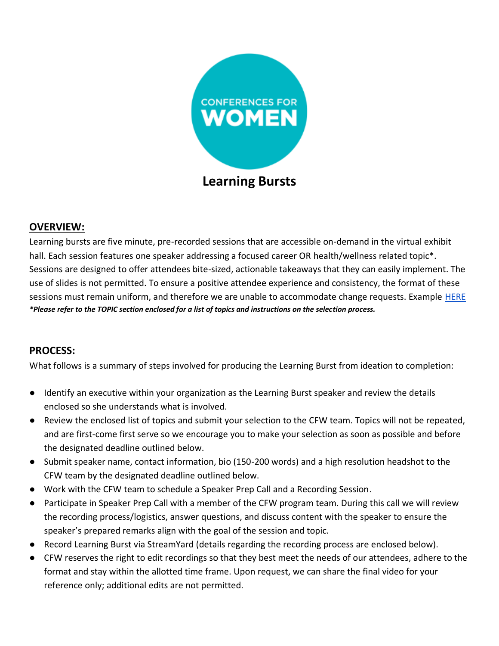

## **OVERVIEW:**

Learning bursts are five minute, pre-recorded sessions that are accessible on-demand in the virtual exhibit hall. Each session features one speaker addressing a focused career OR health/wellness related topic\*. Sessions are designed to offer attendees bite-sized, actionable takeaways that they can easily implement. The use of slides is not permitted. To ensure a positive attendee experience and consistency, the format of these sessions must remain uniform, and therefore we are unable to accommodate change requests. Example [HERE](https://www.youtube.com/watch?v=B0C_5aMgx1Q) *\*Please refer to the TOPIC section enclosed for a list of topics and instructions on the selection process.*

# **PROCESS:**

What follows is a summary of steps involved for producing the Learning Burst from ideation to completion:

- Identify an executive within your organization as the Learning Burst speaker and review the details enclosed so she understands what is involved.
- Review the enclosed list of topics and submit your selection to the CFW team. Topics will not be repeated, and are first-come first serve so we encourage you to make your selection as soon as possible and before the designated deadline outlined below.
- Submit speaker name, contact information, bio (150-200 words) and a high resolution headshot to the CFW team by the designated deadline outlined below.
- Work with the CFW team to schedule a Speaker Prep Call and a Recording Session.
- Participate in Speaker Prep Call with a member of the CFW program team. During this call we will review the recording process/logistics, answer questions, and discuss content with the speaker to ensure the speaker's prepared remarks align with the goal of the session and topic.
- Record Learning Burst via StreamYard (details regarding the recording process are enclosed below).
- CFW reserves the right to edit recordings so that they best meet the needs of our attendees, adhere to the format and stay within the allotted time frame. Upon request, we can share the final video for your reference only; additional edits are not permitted.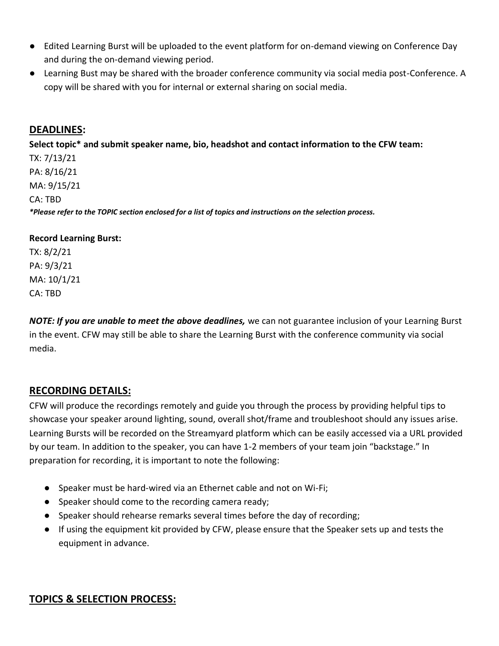- Edited Learning Burst will be uploaded to the event platform for on-demand viewing on Conference Day and during the on-demand viewing period.
- Learning Bust may be shared with the broader conference community via social media post-Conference. A copy will be shared with you for internal or external sharing on social media.

### **DEADLINES:**

**Select topic\* and submit speaker name, bio, headshot and contact information to the CFW team:**

TX: 7/13/21 PA: 8/16/21 MA: 9/15/21 CA: TBD *\*Please refer to the TOPIC section enclosed for a list of topics and instructions on the selection process.*

#### **Record Learning Burst:**

TX: 8/2/21 PA: 9/3/21 MA: 10/1/21 CA: TBD

*NOTE: If you are unable to meet the above deadlines,* we can not guarantee inclusion of your Learning Burst in the event. CFW may still be able to share the Learning Burst with the conference community via social media.

### **RECORDING DETAILS:**

CFW will produce the recordings remotely and guide you through the process by providing helpful tips to showcase your speaker around lighting, sound, overall shot/frame and troubleshoot should any issues arise. Learning Bursts will be recorded on the Streamyard platform which can be easily accessed via a URL provided by our team. In addition to the speaker, you can have 1-2 members of your team join "backstage." In preparation for recording, it is important to note the following:

- Speaker must be hard-wired via an Ethernet cable and not on Wi-Fi;
- Speaker should come to the recording camera ready;
- Speaker should rehearse remarks several times before the day of recording;
- If using the equipment kit provided by CFW, please ensure that the Speaker sets up and tests the equipment in advance.

# **TOPICS & SELECTION PROCESS:**